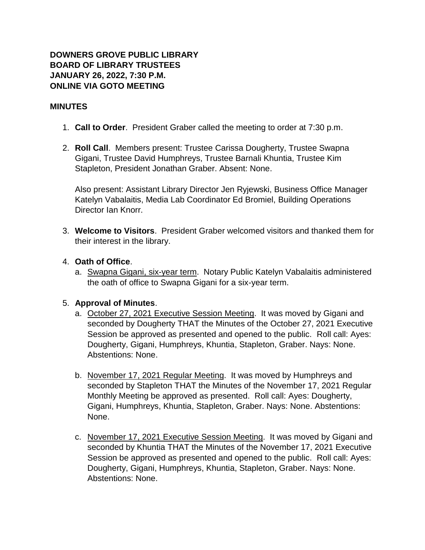## **DOWNERS GROVE PUBLIC LIBRARY BOARD OF LIBRARY TRUSTEES JANUARY 26, 2022, 7:30 P.M. ONLINE VIA GOTO MEETING**

#### **MINUTES**

- 1. **Call to Order**. President Graber called the meeting to order at 7:30 p.m.
- 2. **Roll Call**. Members present: Trustee Carissa Dougherty, Trustee Swapna Gigani, Trustee David Humphreys, Trustee Barnali Khuntia, Trustee Kim Stapleton, President Jonathan Graber. Absent: None.

Also present: Assistant Library Director Jen Ryjewski, Business Office Manager Katelyn Vabalaitis, Media Lab Coordinator Ed Bromiel, Building Operations Director Ian Knorr.

3. **Welcome to Visitors**. President Graber welcomed visitors and thanked them for their interest in the library.

## 4. **Oath of Office**.

a. Swapna Gigani, six-year term. Notary Public Katelyn Vabalaitis administered the oath of office to Swapna Gigani for a six-year term.

#### 5. **Approval of Minutes**.

- a. October 27, 2021 Executive Session Meeting. It was moved by Gigani and seconded by Dougherty THAT the Minutes of the October 27, 2021 Executive Session be approved as presented and opened to the public. Roll call: Ayes: Dougherty, Gigani, Humphreys, Khuntia, Stapleton, Graber. Nays: None. Abstentions: None.
- b. November 17, 2021 Regular Meeting. It was moved by Humphreys and seconded by Stapleton THAT the Minutes of the November 17, 2021 Regular Monthly Meeting be approved as presented. Roll call: Ayes: Dougherty, Gigani, Humphreys, Khuntia, Stapleton, Graber. Nays: None. Abstentions: None.
- c. November 17, 2021 Executive Session Meeting. It was moved by Gigani and seconded by Khuntia THAT the Minutes of the November 17, 2021 Executive Session be approved as presented and opened to the public. Roll call: Ayes: Dougherty, Gigani, Humphreys, Khuntia, Stapleton, Graber. Nays: None. Abstentions: None.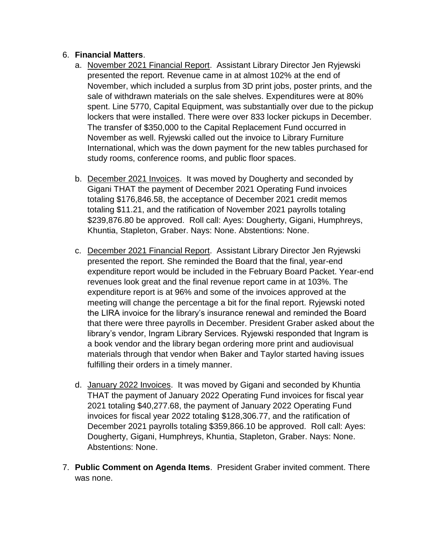## 6. **Financial Matters**.

- a. November 2021 Financial Report. Assistant Library Director Jen Ryjewski presented the report. Revenue came in at almost 102% at the end of November, which included a surplus from 3D print jobs, poster prints, and the sale of withdrawn materials on the sale shelves. Expenditures were at 80% spent. Line 5770, Capital Equipment, was substantially over due to the pickup lockers that were installed. There were over 833 locker pickups in December. The transfer of \$350,000 to the Capital Replacement Fund occurred in November as well. Ryjewski called out the invoice to Library Furniture International, which was the down payment for the new tables purchased for study rooms, conference rooms, and public floor spaces.
- b. December 2021 Invoices. It was moved by Dougherty and seconded by Gigani THAT the payment of December 2021 Operating Fund invoices totaling \$176,846.58, the acceptance of December 2021 credit memos totaling \$11.21, and the ratification of November 2021 payrolls totaling \$239,876.80 be approved. Roll call: Ayes: Dougherty, Gigani, Humphreys, Khuntia, Stapleton, Graber. Nays: None. Abstentions: None.
- c. December 2021 Financial Report. Assistant Library Director Jen Ryjewski presented the report. She reminded the Board that the final, year-end expenditure report would be included in the February Board Packet. Year-end revenues look great and the final revenue report came in at 103%. The expenditure report is at 96% and some of the invoices approved at the meeting will change the percentage a bit for the final report. Ryjewski noted the LIRA invoice for the library's insurance renewal and reminded the Board that there were three payrolls in December. President Graber asked about the library's vendor, Ingram Library Services. Ryjewski responded that Ingram is a book vendor and the library began ordering more print and audiovisual materials through that vendor when Baker and Taylor started having issues fulfilling their orders in a timely manner.
- d. January 2022 Invoices. It was moved by Gigani and seconded by Khuntia THAT the payment of January 2022 Operating Fund invoices for fiscal year 2021 totaling \$40,277.68, the payment of January 2022 Operating Fund invoices for fiscal year 2022 totaling \$128,306.77, and the ratification of December 2021 payrolls totaling \$359,866.10 be approved. Roll call: Ayes: Dougherty, Gigani, Humphreys, Khuntia, Stapleton, Graber. Nays: None. Abstentions: None.
- 7. **Public Comment on Agenda Items**. President Graber invited comment. There was none.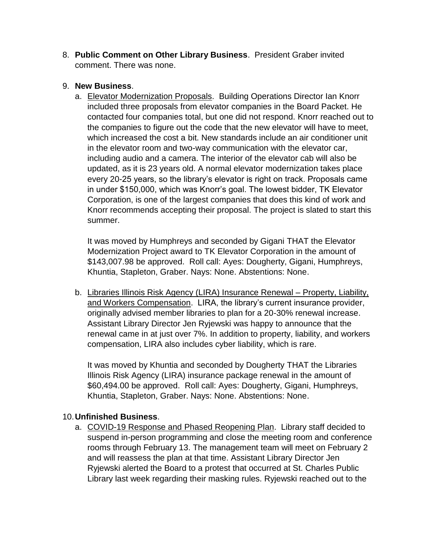8. **Public Comment on Other Library Business**. President Graber invited comment. There was none.

## 9. **New Business**.

a. Elevator Modernization Proposals. Building Operations Director Ian Knorr included three proposals from elevator companies in the Board Packet. He contacted four companies total, but one did not respond. Knorr reached out to the companies to figure out the code that the new elevator will have to meet, which increased the cost a bit. New standards include an air conditioner unit in the elevator room and two-way communication with the elevator car, including audio and a camera. The interior of the elevator cab will also be updated, as it is 23 years old. A normal elevator modernization takes place every 20-25 years, so the library's elevator is right on track. Proposals came in under \$150,000, which was Knorr's goal. The lowest bidder, TK Elevator Corporation, is one of the largest companies that does this kind of work and Knorr recommends accepting their proposal. The project is slated to start this summer.

It was moved by Humphreys and seconded by Gigani THAT the Elevator Modernization Project award to TK Elevator Corporation in the amount of \$143,007.98 be approved. Roll call: Ayes: Dougherty, Gigani, Humphreys, Khuntia, Stapleton, Graber. Nays: None. Abstentions: None.

b. Libraries Illinois Risk Agency (LIRA) Insurance Renewal – Property, Liability, and Workers Compensation. LIRA, the library's current insurance provider, originally advised member libraries to plan for a 20-30% renewal increase. Assistant Library Director Jen Ryjewski was happy to announce that the renewal came in at just over 7%. In addition to property, liability, and workers compensation, LIRA also includes cyber liability, which is rare.

It was moved by Khuntia and seconded by Dougherty THAT the Libraries Illinois Risk Agency (LIRA) insurance package renewal in the amount of \$60,494.00 be approved. Roll call: Ayes: Dougherty, Gigani, Humphreys, Khuntia, Stapleton, Graber. Nays: None. Abstentions: None.

# 10.**Unfinished Business**.

a. COVID-19 Response and Phased Reopening Plan. Library staff decided to suspend in-person programming and close the meeting room and conference rooms through February 13. The management team will meet on February 2 and will reassess the plan at that time. Assistant Library Director Jen Ryjewski alerted the Board to a protest that occurred at St. Charles Public Library last week regarding their masking rules. Ryjewski reached out to the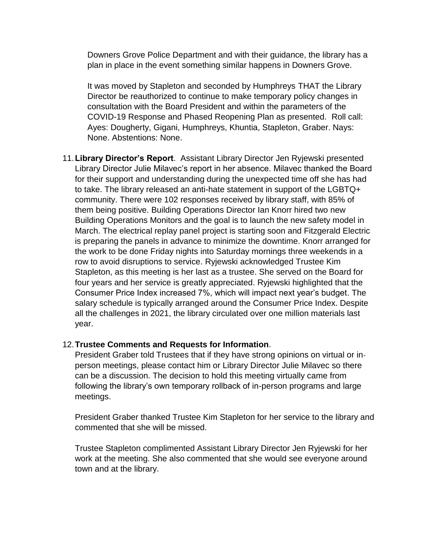Downers Grove Police Department and with their guidance, the library has a plan in place in the event something similar happens in Downers Grove.

It was moved by Stapleton and seconded by Humphreys THAT the Library Director be reauthorized to continue to make temporary policy changes in consultation with the Board President and within the parameters of the COVID-19 Response and Phased Reopening Plan as presented. Roll call: Ayes: Dougherty, Gigani, Humphreys, Khuntia, Stapleton, Graber. Nays: None. Abstentions: None.

11.**Library Director's Report**. Assistant Library Director Jen Ryjewski presented Library Director Julie Milavec's report in her absence. Milavec thanked the Board for their support and understanding during the unexpected time off she has had to take. The library released an anti-hate statement in support of the LGBTQ+ community. There were 102 responses received by library staff, with 85% of them being positive. Building Operations Director Ian Knorr hired two new Building Operations Monitors and the goal is to launch the new safety model in March. The electrical replay panel project is starting soon and Fitzgerald Electric is preparing the panels in advance to minimize the downtime. Knorr arranged for the work to be done Friday nights into Saturday mornings three weekends in a row to avoid disruptions to service. Ryjewski acknowledged Trustee Kim Stapleton, as this meeting is her last as a trustee. She served on the Board for four years and her service is greatly appreciated. Ryjewski highlighted that the Consumer Price Index increased 7%, which will impact next year's budget. The salary schedule is typically arranged around the Consumer Price Index. Despite all the challenges in 2021, the library circulated over one million materials last year.

#### 12.**Trustee Comments and Requests for Information**.

President Graber told Trustees that if they have strong opinions on virtual or inperson meetings, please contact him or Library Director Julie Milavec so there can be a discussion. The decision to hold this meeting virtually came from following the library's own temporary rollback of in-person programs and large meetings.

President Graber thanked Trustee Kim Stapleton for her service to the library and commented that she will be missed.

Trustee Stapleton complimented Assistant Library Director Jen Ryjewski for her work at the meeting. She also commented that she would see everyone around town and at the library.